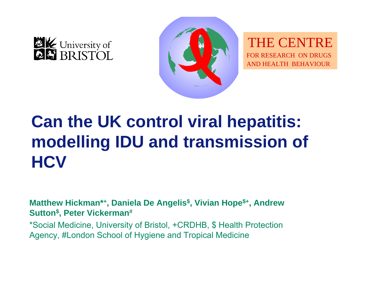



THE CENTRE FOR RESEARCH ON DRUGSAND HEALTH BEHAVIOUR

# **Can the UK control viral hepatitis: modelling IDU and transmission of HCV**

**Matthew Hickman\*+, Daniela De Angelis\$, Vivian Hope\$+, Andrew Sutton\$, Peter Vickerman#**

\*Social Medicine, University of Bristol, +CRDHB, \$ Health Protection Agency, #London School of Hygiene and Tropical Medicine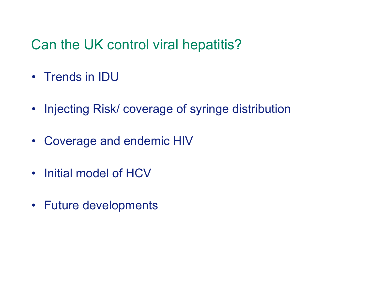# Can the UK control viral hepatitis?

- Trends in  $\mathsf{IDU}$
- Injecting Risk/ coverage of syringe distribution
- $\bullet$ Coverage and endemic HIV
- Initial model of HCV
- Future developments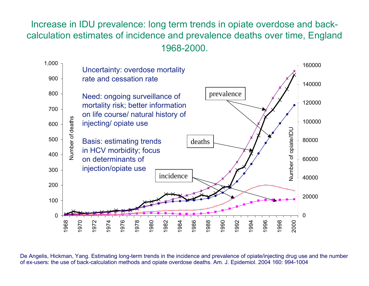Increase in IDU prevalence: long term trends in opiate overdose and backcalculation estimates of incidence and prevalence deaths over time, England 1968-2000.



De Angelis, Hickman, Yang. Estimating long-term trends in the incidence and prevalence of opiate/injecting drug use and the number of ex-users: the use of back-calculation methods and opiate overdose deaths. Am. J. Epidemi ol. 2004 160: 994-1004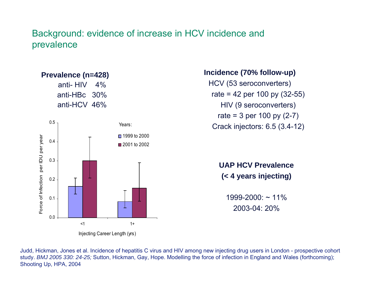#### Background: evidence of increase in HCV incidence and prevalence



Injecting C are er L ength ( yrs)

**Incidence (70% follow-up)** HCV (53 seroconverters) rate = 42 per 100 py  $(32-55)$ HIV (9 s eroconverters) rate = 3 per 100 py  $(2-7)$ Crack injectors: 6.5 (3.4-12)

> **UAP HCV Prevalence (< 4 years injecting)**

 $1999 - 2000$ : ~ 11% 2003-04: 20%

Judd, Hickman, Jones et al. Incidence of hepatitis C virus and HIV among new injecting drug users in London - prospective cohort study. *BMJ* 2005 330: 24-25; Sutton, Hickman, Gay, Hope. Modelling the force of infection in England and Wales (forthcoming); Shooti ng U p, HPA, 2004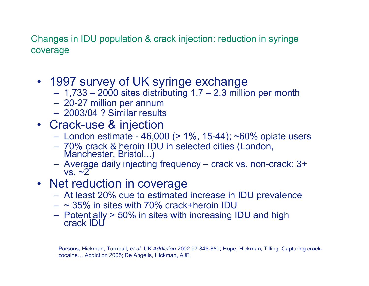Changes in IDU population & crack injection: reduction in syringe coverage

- 1997 survey of UK syringe exchange
	- 1,733 2000 sites distributing 1.7 2.3 million per month
	- 20-27 million per annum
	- 2003/04 ? Similar results
- Crack-use & injection
	- London estimate 46,000 (> 1%, 15-44); ~60% opiate users
	- 70% crack & heroin IDU in selected cities (London, Manchester, Bristol...)
	- Average daily injec ting frequency crack vs. non-crack: 3+ vs. ~2
- Net reduction in coverage
	- At least 20% due to estimated increase in IDU prevalence
	- $\sim$  35% in sites with 70% crack+heroin IDU  $\,$
	- Potentially > 50% in sites with increasing IDU and high<br>crack IDU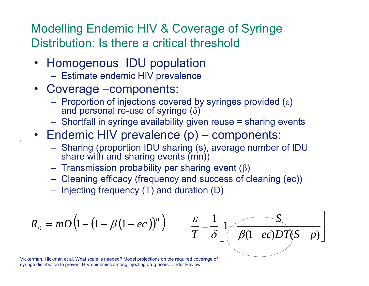Modelling Endemic HIV & Coverage of Syringe Distribution: Is there a critical threshold

- Homogenous IDU population
	- Estimate endemic HIV prevalence
- Coverage –components:
	- $-$  Proportion of injections covered by syringes provided (ε) and personal re-use of syringe  $(\delta)$
	- Shortfall in syringe availability given reuse = sharing events
- Endemic HIV prevalence (p) components:
	- Sharing (proportion IDU sharing (s), average number of IDU share with and sharing events (mn))
	- $-$  Transmission probability per sharing event (β)
	- Cleaning efficacy (frequency and success of cleaning (ec))
	- $-$  Injecting frequency (T) and duration (D)

$$
R_0 = mD\left(1 - \left(1 - \beta\left(1 - ec\right)\right)^n\right)
$$

,



Vickerman, Hickman et al. What scale is needed? Model projections on the required coverage of syringe distribution to prevent HIV epidemics among injecting drug users. Under Review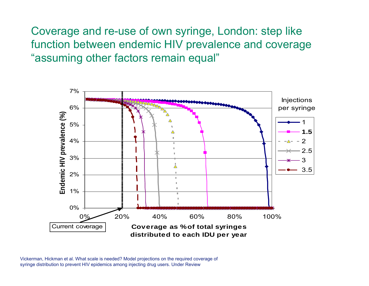Coverage and re-use of own syringe, London: step like function between endemic HIV prevalence and coverage "assuming other factors remain equal"



Vickerman, Hickman et al. What scale is needed? Model projections on the required coverage of syringe distribution to prevent HIV epidemics among injecting drug users. Under Review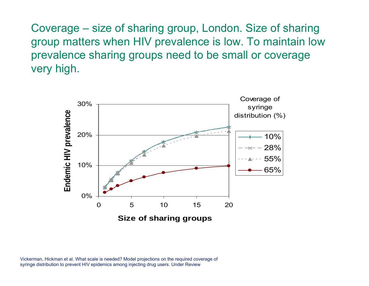Coverage – size of sharing group, London. Size of sharing group matters when HIV prevalence is low. To maintain low prevalence sharing groups need to be small or coverage very high.



Vickerman, Hickman et al. What scale is needed? Model projections on the required coverage of syringe distribution to prevent HIV epidemics among injecting drug users. Under Review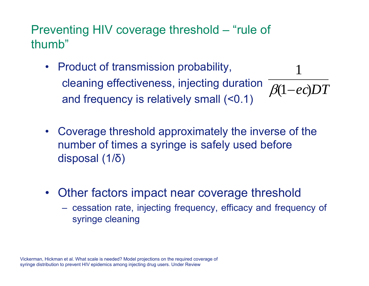Preventing HIV coverage threshold – "rule of thumb"

- Product of transmission probability, cleaning effectiveness, injecting duration and frequency is relatively small (<0.1) ( 1 *ec*)*DT* β 1
- Coverage threshold approximately the inverse of the number of times a syringe is safely used before disposal (1/ δ )
- Other factors impact near coverage threshold
	- cessation rate, injecting frequency, efficacy and frequency of syringe cleaning

Vickerman, Hickman et al. What scale is needed? Model projections on the required coverage of syringe distribution to prevent HIV epidemics among injecting drug users. Under Review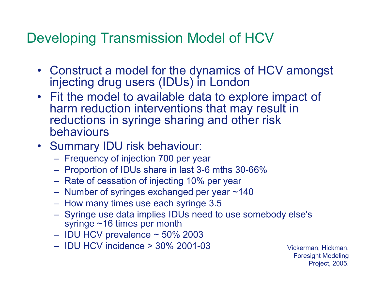# Developing Transmission Model of HCV

- Construct a model for the dynamics of HCV amongst injecting drug users (IDUs) in London
- Fit the model to available data to explore impact of harm reduction interventions that may result in reductions in syringe sharing and other risk behaviours
- Summary IDU risk behaviour:
	- Frequency of injection 700 per year
	- Proportion of IDUs share in last 3-6 mths 30-66%
	- Rate of cessation of injecting 10% per year
	- Number of syringes exchanged per year ~140
	- How many times use each syringe 3.5
	- Syringe use data implies IDUs need to use somebody else's syringe ~16 times per month
	- IDU HCV prevalence ~ 50% 2003
	- IDU HCV incidence > 30% 2001-03 Vickerman, Hickman.

Foresight Modeling Project, 2005.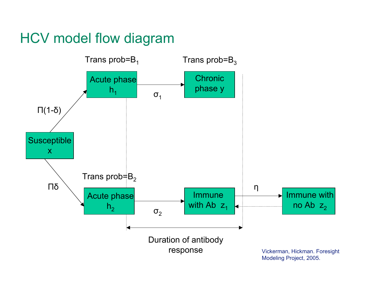# HCV model flow diagram

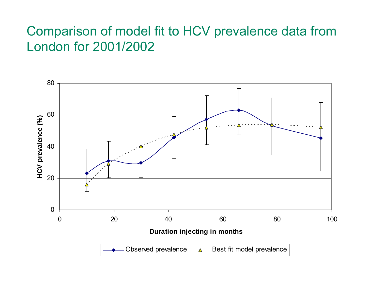#### Comparison of model fit to HCV prevalence data from London for 2001/2002

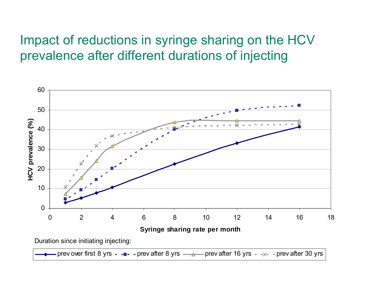#### Impact of reductions in syringe sharing on the HCV prevalence after different durations of injecting

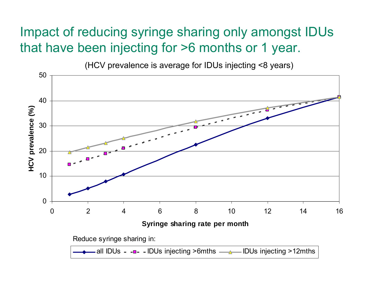#### Impact of reducing syringe sharing only amongst IDUs that have been injecting for >6 months or 1 year.

(HCV prevalence is average for IDUs injecting <8 years)

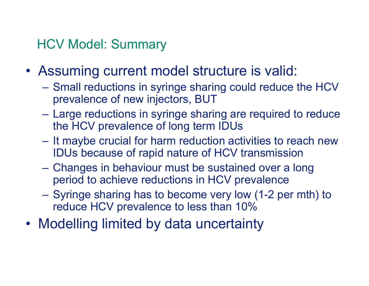### HCV Model: Summary

- • Assuming current model structure is valid:
	- Small reductions in syringe sharing could reduce the HCV prevalence of new injectors, BUT
	- Large reductions in syringe sharing are required to reduce the HCV prevalence of long term IDUs
	- $\mathcal{L}_{\mathcal{A}}$  $-$  It maybe crucial for harm reduction activities to reach new IDUs because of rapid nature of HCV transmission
	- Changes in behaviour must be sustained over a long period to achieve reductions in HCV prevalence
	- Syringe sharing has to become very low (1-2 per mth) to reduce HCV prevalence to less than 10%
- •Modelling limited by data uncertainty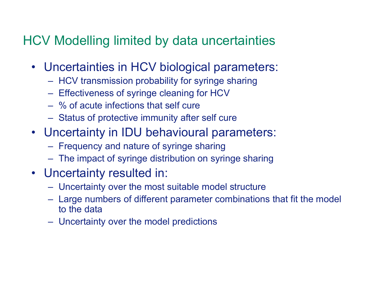#### HCV Modelling limited by data uncertainties

- Uncertainties in HCV biological parameters:
	- $-$  HCV transmission probability for syringe sharing
	- Effectiveness of syringe cleaning for HCV
	- –% of acute infections that self cure
	- Status of protective immunity aft er self cure
- Uncertainty in IDU behavioural parameters:
	- Frequency and nature of syringe sharing
	- The impact of syringe distribution on syringe sharing
- Uncertainty resulted in:
	- Uncertainty over the most suitable model structure
	- Large numbers of different parameter combinations that fit the model to the data
	- Uncertainty over the model predictions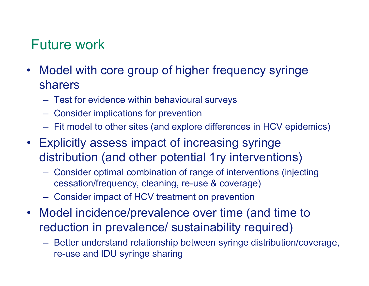# Future work

- Model with core group of higher frequency syringe sharers
	- Test for evidence within behavioural surveys
	- Consider implications for prevention
	- Fit model to other sites (and explore differences in HCV epidemics)
- Explicitly assess impact of increasing syringe distribution (and other potential 1ry interventions)
	- Consider optimal combination of range of interventions (injecting cessation/frequency, cleaning, re-use & coverage)
	- Consider impact of HCV treatment on prevention
- Model incidence/prevalence over time (and time to reduction in prevalence/ sustainability required)
	- Better understand relationship between syringe distribution/coverage, re-use and IDU syringe sharing